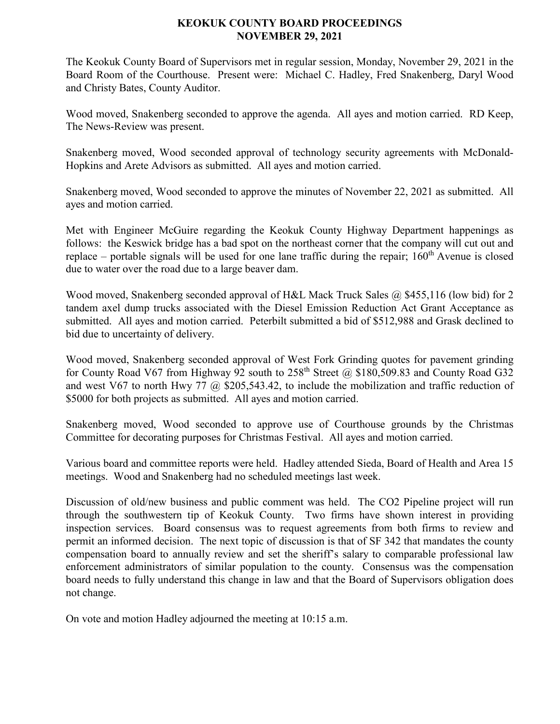## **KEOKUK COUNTY BOARD PROCEEDINGS NOVEMBER 29, 2021**

The Keokuk County Board of Supervisors met in regular session, Monday, November 29, 2021 in the Board Room of the Courthouse. Present were: Michael C. Hadley, Fred Snakenberg, Daryl Wood and Christy Bates, County Auditor.

Wood moved, Snakenberg seconded to approve the agenda. All ayes and motion carried. RD Keep, The News-Review was present.

Snakenberg moved, Wood seconded approval of technology security agreements with McDonald-Hopkins and Arete Advisors as submitted. All ayes and motion carried.

Snakenberg moved, Wood seconded to approve the minutes of November 22, 2021 as submitted. All ayes and motion carried.

Met with Engineer McGuire regarding the Keokuk County Highway Department happenings as follows: the Keswick bridge has a bad spot on the northeast corner that the company will cut out and replace – portable signals will be used for one lane traffic during the repair;  $160<sup>th</sup>$  Avenue is closed due to water over the road due to a large beaver dam.

Wood moved, Snakenberg seconded approval of H&L Mack Truck Sales @ \$455,116 (low bid) for 2 tandem axel dump trucks associated with the Diesel Emission Reduction Act Grant Acceptance as submitted. All ayes and motion carried. Peterbilt submitted a bid of \$512,988 and Grask declined to bid due to uncertainty of delivery.

Wood moved, Snakenberg seconded approval of West Fork Grinding quotes for pavement grinding for County Road V67 from Highway 92 south to  $258^{th}$  Street @ \$180,509.83 and County Road G32 and west V67 to north Hwy 77 @ \$205,543.42, to include the mobilization and traffic reduction of \$5000 for both projects as submitted. All ayes and motion carried.

Snakenberg moved, Wood seconded to approve use of Courthouse grounds by the Christmas Committee for decorating purposes for Christmas Festival. All ayes and motion carried.

Various board and committee reports were held. Hadley attended Sieda, Board of Health and Area 15 meetings. Wood and Snakenberg had no scheduled meetings last week.

Discussion of old/new business and public comment was held. The CO2 Pipeline project will run through the southwestern tip of Keokuk County. Two firms have shown interest in providing inspection services. Board consensus was to request agreements from both firms to review and permit an informed decision. The next topic of discussion is that of SF 342 that mandates the county compensation board to annually review and set the sheriff's salary to comparable professional law enforcement administrators of similar population to the county. Consensus was the compensation board needs to fully understand this change in law and that the Board of Supervisors obligation does not change.

On vote and motion Hadley adjourned the meeting at 10:15 a.m.